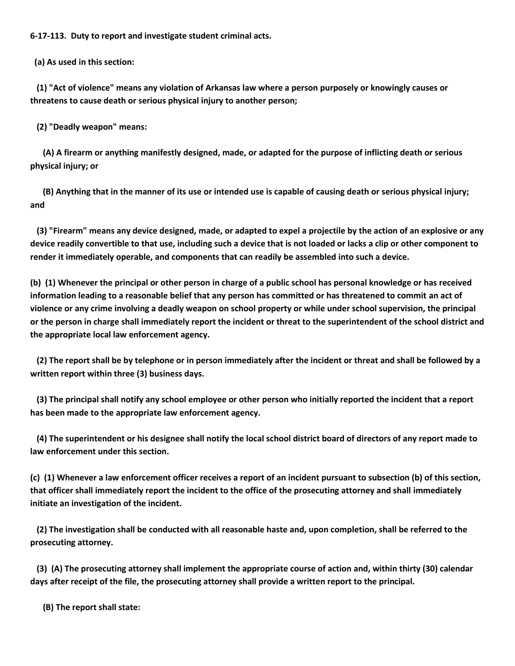**6-17-113. Duty to report and investigate student criminal acts.**

 **(a) As used in this section:**

 **(1) "Act of violence" means any violation of Arkansas law where a person purposely or knowingly causes or threatens to cause death or serious physical injury to another person;**

 **(2) "Deadly weapon" means:**

 **(A) A firearm or anything manifestly designed, made, or adapted for the purpose of inflicting death or serious physical injury; or**

 **(B) Anything that in the manner of its use or intended use is capable of causing death or serious physical injury; and**

 **(3) "Firearm" means any device designed, made, or adapted to expel a projectile by the action of an explosive or any device readily convertible to that use, including such a device that is not loaded or lacks a clip or other component to render it immediately operable, and components that can readily be assembled into such a device.**

**(b) (1) Whenever the principal or other person in charge of a public school has personal knowledge or has received information leading to a reasonable belief that any person has committed or has threatened to commit an act of violence or any crime involving a deadly weapon on school property or while under school supervision, the principal or the person in charge shall immediately report the incident or threat to the superintendent of the school district and the appropriate local law enforcement agency.**

 **(2) The report shall be by telephone or in person immediately after the incident or threat and shall be followed by a written report within three (3) business days.**

 **(3) The principal shall notify any school employee or other person who initially reported the incident that a report has been made to the appropriate law enforcement agency.**

 **(4) The superintendent or his designee shall notify the local school district board of directors of any report made to law enforcement under this section.**

**(c) (1) Whenever a law enforcement officer receives a report of an incident pursuant to subsection (b) of this section, that officer shall immediately report the incident to the office of the prosecuting attorney and shall immediately initiate an investigation of the incident.**

 **(2) The investigation shall be conducted with all reasonable haste and, upon completion, shall be referred to the prosecuting attorney.**

 **(3) (A) The prosecuting attorney shall implement the appropriate course of action and, within thirty (30) calendar days after receipt of the file, the prosecuting attorney shall provide a written report to the principal.**

 **(B) The report shall state:**